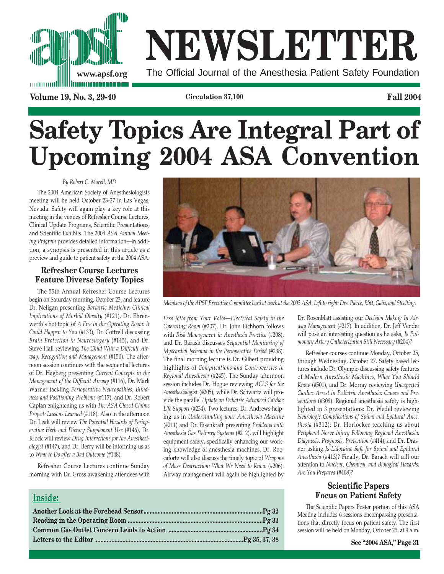

# **NEWSLETTER www.apsf.org** The Official Journal of the Anesthesia Patient Safety Foundation

**Volume 19, No. 3, 29-40 Circulation 37,100 Fall 2004**

# **Safety Topics Are Integral Part of Upcoming 2004 ASA Convention**

# *By Robert C. Morell, MD*

The 2004 American Society of Anesthesiologists meeting will be held October 23-27 in Las Vegas, Nevada. Safety will again play a key role at this meeting in the venues of Refresher Course Lectures, Clinical Update Programs, Scientific Presentations, and Scientific Exhibits. The 2004 *ASA Annual Meeting Program* provides detailed information—in addition, a synopsis is presented in this article as a preview and guide to patient safety at the 2004 ASA.

# **Refresher Course Lectures Feature Diverse Safety Topics**

The 55th Annual Refresher Course Lectures begin on Saturday morning, October 23, and feature Dr. Neligan presenting *Bariatric Medicine: Clinical Implications of Morbid Obesity* (#121), Dr. Ehrenwerth's hot topic of *A Fire in the Operating Room: It Could Happen to You* (#133), Dr. Cottrell discussing *Brain Protection in Neurosurgery* (#145), and Dr. Steve Hall reviewing *The Child With a Difficult Airway: Recognition and Management* (#150). The afternoon session continues with the sequential lectures of Dr. Hagberg presenting *Current Concepts in the Management of the Difficult Airway* (#116), Dr. Mark Warner tackling *Perioperative Neuropathies, Blindness and Positioning Problems* (#117), and Dr. Robert Caplan enlightening us with *The ASA Closed Claims Project: Lessons Learned* (#118). Also in the afternoon Dr. Leak will review *The Potential Hazards of Perioperative Herb and Dietary Supplement Use* (#146), Dr. Klock will review *Drug Interactions for the Anesthesiologist* (#147), and Dr. Berry will be informing us as to *What to Do after a Bad Outcome* (#148).

Refresher Course Lectures continue Sunday morning with Dr. Gross awakening attendees with



*Members of the APSF Executive Committee hard at work at the 2003 ASA. Left to right: Drs. Pierce, Blitt, Gaba, and Stoelting.*

*Less Jolts from Your Volts—Electrical Safety in the Operating Room* (#207). Dr. John Eichhorn follows with *Risk Management in Anesthesia Practice* (#208), and Dr. Barash discusses *Sequential Monitoring of Myocardial Ischemia in the Perioperative Period* (#238). The final morning lecture is Dr. Gilbert providing highlights of *Complications and Controversies in Regional Anesthesia* (#245). The Sunday afternoon session includes Dr. Hogue reviewing *ACLS for the Anesthesiologist* (#205), while Dr. Schwartz will provide the parallel *Update on Pediatric Advanced Cardiac Life Support* (#234). Two lectures, Dr. Andrews helping us in *Understanding your Anesthesia Machine* (#211) and Dr. Eisenkraft presenting *Problems with Anesthesia Gas Delivery Systems* (#212), will highlight equipment safety, specifically enhancing our working knowledge of anesthesia machines. Dr. Roccaforte will also discuss the timely topic of *Weapons of Mass Destruction: What We Need to Know* (#206). Airway management will again be highlighted by

# **Inside:**

Dr. Rosenblatt assisting our *Decision Making In Airway Management* (#217). In addition, Dr. Jeff Vender will pose an interesting question as he asks, *Is Pulmonary Artery Catheterization Still Necessary* (#204)?

Refresher courses continue Monday, October 25, through Wednesday, October 27. Safety based lectures include Dr. Olympio discussing safety features of *Modern Anesthesia Machines, What You Should Know* (#501), and Dr. Morray reviewing *Unexpected Cardiac Arrest in Pediatric Anesthesia: Causes and Preventions* (#309). Regional anesthesia safety is highlighted in 3 presentations: Dr. Wedel reviewing *Neurologic Complications of Spinal and Epidural Anesthesia* (#312); Dr. Horlocker teaching us about *Peripheral Nerve Injury Following Regional Anesthesia: Diagnosis, Prognosis, Prevention* (#414); and Dr. Drasner asking *Is Lidocaine Safe for Spinal and Epidural Anesthesia* (#413)? Finally, Dr. Barach will call our attention to *Nuclear, Chemical, and Biological Hazards: Are You Prepared* (#408)?

# **Scientific Papers Focus on Patient Safety**

The Scientific Papers Poster portion of this ASA Meeting includes 6 sessions encompassing presentations that directly focus on patient safety. The first session will be held on Monday, October 25, at 9 a.m.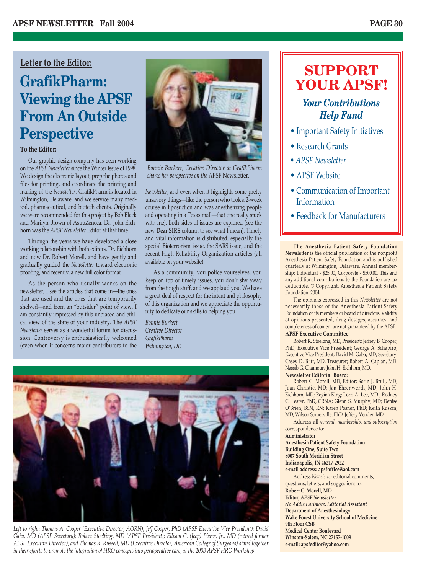# **Letter to the Editor:**

# **GrafikPharm: Viewing the APSF From An Outside Perspective**

# **To the Editor:**

Our graphic design company has been working on the *APSF Newsletter* since the Winter Issue of 1998. We design the electronic layout, prep the photos and files for printing, and coordinate the printing and mailing of the *Newsletter*. GrafikPharm is located in Wilmington, Delaware, and we service many medical, pharmaceutical, and biotech clients. Originally we were recommended for this project by Bob Black and Marilyn Brown of AstraZeneca. Dr. John Eichhorn was the *APSF Newsletter* Editor at that time.

Through the years we have developed a close working relationship with both editors, Dr. Eichhorn and now Dr. Robert Morell, and have gently and gradually guided the *Newsletter* toward electronic proofing, and recently, a new full color format.

As the person who usually works on the newsletter, I see the articles that come in—the ones that are used and the ones that are temporarily shelved—and from an "outsider" point of view, I am constantly impressed by this unbiased and ethical view of the state of your industry. The *APSF Newsletter* serves as a wonderful forum for discussion. Controversy is enthusiastically welcomed (even when it concerns major contributors to the



*Bonnie Burkert, Creative Director at GrafikPharm shares her perspective on the* APSF Newsletter.

*Newsletter*, and even when it highlights some pretty unsavory things—like the person who took a 2-week course in liposuction and was anesthetizing people and operating in a Texas mall—that one really stuck with me). Both sides of issues are explored (see the new **Dear SIRS** column to see what I mean). Timely and vital information is distributed, especially the special Bioterrorism issue, the SARS issue, and the recent High Reliability Organization articles (all available on your website).

As a community, you police yourselves, you keep on top of timely issues, you don't shy away from the tough stuff, and we applaud you. We have a great deal of respect for the intent and philosophy of this organization and we appreciate the opportunity to dedicate our skills to helping you.

*Bonnie Burkert Creative Director GrafikPharm Wilmington, DE*



*Left to right: Thomas A. Cooper (Executive Director, AORN); Jeff Cooper, PhD (APSF Executive Vice President); David Gaba, MD (APSF Secretary); Robert Stoelting, MD (APSF President); Ellison C. (Jeep) Pierce, Jr., MD (retired former APSF Executive Director); and Thomas R. Russell, MD (Executive Director, American College of Surgeons) stand together in their efforts to promote the integration of HRO concepts into perioperative care, at the 2003 APSF HRO Workshop.*

# **SUPPORT YOUR APSF!**

# *Your Contributions Help Fund*

- Important Safety Initiatives
- Research Grants
- *APSF Newsletter*
- APSF Website
- Communication of Important Information
- Feedback for Manufacturers

**The Anesthesia Patient Safety Foundation Newsletter** is the official publication of the nonprofit Anesthesia Patient Safety Foundation and is published quarterly at Wilmington, Delaware. Annual membership: Individual - \$25.00, Corporate - \$500.00. This and any additional contributions to the Foundation are tax deductible. © Copyright, Anesthesia Patient Safety Foundation, 2004.

The opinions expressed in this *Newsletter* are not necessarily those of the Anesthesia Patient Safety Foundation or its members or board of directors. Validity of opinions presented, drug dosages, accuracy, and completeness of content are not guaranteed by the APSF.

# **APSF Executive Committee:**

Robert K. Stoelting, MD, President; Jeffrey B. Cooper, PhD, Executive Vice President; George A. Schapiro, Executive Vice President; David M. Gaba, MD, Secretary; Casey D. Blitt, MD, Treasurer; Robert A. Caplan, MD; Nassib G. Chamoun; John H. Eichhorn, MD.

## **Newsletter Editorial Board:**

Robert C. Morell, MD, Editor; Sorin J. Brull, MD; Joan Christie, MD; Jan Ehrenwerth, MD; John H. Eichhorn, MD; Regina King; Lorri A. Lee, MD ; Rodney C. Lester, PhD, CRNA; Glenn S. Murphy, MD; Denise O'Brien, BSN, RN; Karen Posner, PhD; Keith Ruskin, MD; Wilson Somerville, PhD; Jeffery Vender, MD.

Address all *general, membership, and subscription* correspondence to:

**Administrator**

**Anesthesia Patient Safety Foundation Building One, Suite Two 8007 South Meridian Street Indianapolis, IN 46217-2922**

**e-mail address: apsfoffice@aol.com**

Address *Newsletter* editorial comments, questions, letters, and suggestions to: **Robert C. Morell, MD Editor,** *APSF Newsletter c/o Addie Larimore, Editorial Assistant* **Department of Anesthesiology Wake Forest University School of Medicine 9th Floor CSB Medical Center Boulevard Winston-Salem, NC 27157-1009 e-mail: apsfeditor@yahoo.com**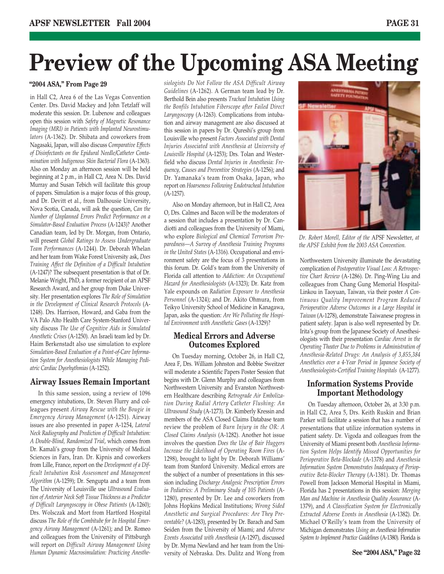# **Preview of the Upcoming ASA Meeting**

# **"2004 ASA," From Page 29**

in Hall C2, Area 6 of the Las Vegas Convention Center. Drs. David Mackey and John Tetzlaff will moderate this session. Dr. Lubenow and colleagues open this session with *Safety of Magnetic Resonance Imaging (MRI) in Patients with Implanted Neurostimulators* (A-1362). Dr. Shibata and coworkers from Nagasaki, Japan, will also discuss *Comparative Effects of Disinfectants on the Epidural Needle/Catheter Contamination with Indigenous Skin Bacterial Flora* (A-1363). Also on Monday an afternoon session will be held beginning at 2 p.m., in Hall C2, Area N. Drs. David Murray and Susan Tebich will facilitate this group of papers. Simulation is a major focus of this group, and Dr. Devitt et al., from Dalhousie University, Nova Scotia, Canada, will ask the question, *Can the Number of Unplanned Errors Predict Performance on a Simulator-Based Evaluation Process* (A-1243)? Another Canadian team, led by Dr. Morgan, from Ontario, will present *Global Ratings to Assess Undergraduate Team Performances* (A-1244). Dr. Deborah Whelan and her team from Wake Forest University ask, *Does Training Affect the Definition of a Difficult Intubation* (A-1247)? The subsequent presentation is that of Dr. Melanie Wright, PhD, a former recipient of an APSF Research Award, and her group from Duke University. Her presentation explores *The Role of Simulation in the Development of Clinical Research Protocols* (A-1248). Drs. Harrison, Howard, and Gaba from the VA Palo Alto Health Care System-Stanford University discuss *The Use of Cognitive Aids in Simulated Anesthetic Crises* (A-1250). An Israeli team led by Dr. Haim Berkenstadt also use simulation to explore *Simulation-Based Evaluation of a Point-of-Care Information System for Anesthesiologists While Managing Pediatric Cardiac Dysrhythmias* (A-1252).

# **Airway Issues Remain Important**

In this same session, using a review of 1096 emergency intubations, Dr. Steven Flurry and colleagues present *Airway Rescue with the Bougie in Emergency Airway Management* (A-1251). Airway issues are also presented in paper A-1254, *Lateral Neck Radiography and Prediction of Difficult Intubation: A Double-Blind, Randomized Trial*, which comes from Dr. Kamali's group from the University of Medical Sciences in Fars, Iran. Dr. Kipnis and coworkers from Lille, France, report on the *Development of a Difficult Intubation Risk Assessment and Management Algorithm* (A-1259); Dr. Sengupta and a team from The University of Louisville use *Ultrasound Evaluation of Anterior Neck Soft Tissue Thickness as a Predictor of Difficult Laryngoscopy in Obese Patients* (A-1260); Drs. Wolsczak and Mort from Hartford Hospital discuss *The Role of the Combitube for In Hospital Emergency Airway Management* (A-1261); and Dr. Romeo and colleagues from the University of Pittsburgh will report on *Difficult Airway Management Using Human Dynamic Macrosimulation: Practicing Anesthe-* *siologists Do Not Follow the ASA Difficult Airway Guidelines* (A-1262). A German team lead by Dr. Berthold Bein also presents *Tracheal Intubation Using the Bonfils Intubation Fiberscope after Failed Direct Laryngoscopy* (A-1263). Complications from intubation and airway management are also discussed at this session in papers by Dr. Qureshi's group from Louisville who present *Factors Associated with Dental Injuries Associated with Anesthesia at University of Louisville Hospital* (A-1253); Drs. Tolan and Westerfield who discuss *Dental Injuries in Anesthesia: Frequency, Causes and Preventive Strategies* (A-1256); and Dr. Yamanaka's team from Osaka, Japan, who report on *Hoarseness Following Endotracheal Intubation* (A-1257).

Also on Monday afternoon, but in Hall C2, Area O, Drs. Calmes and Bacon will be the moderators of a session that includes a presentation by Dr. Candiotti and colleagues from the University of Miami, who explore *Biological and Chemical Terrorism Preparedness—A Survey of Anesthesia Training Programs in the United States* (A-1316). Occupational and environment safety are the focus of 3 presentations in this forum. Dr. Gold's team from the University of Florida call attention to *Addiction: An Occupational Hazard for Anesthesiologists* (A-1323); Dr. Katz from Yale expounds on *Radiation Exposure to Anesthesia Personnel* (A-1324); and Dr. Akito Ohmura, from Teikyo University School of Medicine in Kanagawa, Japan, asks the question: *Are We Polluting the Hospital Environment with Anesthetic Gases* (A-1329)?

# **Medical Errors and Adverse Outcomes Explored**

On Tuesday morning, October 26, in Hall C2, Area F, Drs. William Johnston and Bobbie Sweitzer will moderate a Scientific Papers Poster Session that begins with Dr. Glenn Murphy and colleagues from Northwestern University and Evanston Northwestern Healthcare describing *Retrograde Air Embolization During Radial Artery Catheter Flushing: An Ultrasound Study* (A-1273). Dr. Kimberly Kressin and members of the ASA Closed Claims Database team review the problem of *Burn Injury in the OR: A Closed Claims Analysis* (A-1282). Another hot issue involves the question *Does the Use of Bair Huggers Increase the Likelihood of Operating Room Fires* (A-1298), brought to light by Dr. Deborah Williams' team from Stanford University. Medical errors are the subject of a number of presentations in this session including *Discharge Analgesic Prescription Errors in Pediatrics: A Preliminary Study of 105 Patients* (A-1280), presented by Dr. Lee and coworkers from Johns Hopkins Medical Institutions; *Wrong Sided Anesthetic and Surgical Procedures: Are They Preventable?* (A-1283), presented by Dr. Barach and Sam Seiden from the University of Miami; and *Adverse Events Associated with Anesthesia* (A-1297), discussed by Dr. Myrna Newland and her team from the University of Nebraska. Drs. Dulitz and Wong from



*Dr. Robert Morell, Editor of the* APSF Newsletter, *at the APSF Exhibit from the 2003 ASA Convention.*

Northwestern University illuminate the devastating complication of *Postoperative Visual Loss: A Retrospective Chart Review* (A-1286). Dr. Ping-Wing Liu and colleagues from Chang Gung Memorial Hospital-Linkou in Taoyuan, Taiwan, via their poster *A Continuous Quality Improvement Program Reduced Perioperative Adverse Outcomes in a Large Hospital in Taiwan* (A-1278), demonstrate Taiwanese progress in patient safety. Japan is also well represented by Dr. Irita's group from the Japanese Society of Anesthesiologists with their presentation *Cardiac Arrest in the Operating Theater Due to Problems in Administration of Anesthesia-Related Drugs: An Analysis of 3,855,384 Anesthetics over a 4-Year Period in Japanese Society of Anesthesiologists-Certified Training Hospitals* (A-1277).

# **Information Systems Provide Important Methodology**

On Tuesday afternoon, October 26, at 3:30 p.m. in Hall C2, Area 5, Drs. Keith Ruskin and Brian Parker will facilitate a session that has a number of presentations that utilize information systems in patient safety. Dr. Vigoda and colleagues from the University of Miami present both *Anesthesia Information System Helps Identify Missed Opportunities for Perioperative Beta-Blockade* (A-1378) and *Anesthesia Information System Demonstrates Inadequacy of Perioperative Beta-Blocker Therapy* (A-1381). Dr. Thomas Powell from Jackson Memorial Hospital in Miami, Florida has 2 presentations in this session: *Merging Man and Machine in Anesthesia Quality Assurance* (A-1379), and *A Classification System for Electronically Extracted Adverse Events in Anesthesia* (A-1382). Dr. Michael O'Reilly's team from the University of Michigan demonstrates *Using an Anesthesia Information System to Implement Practice Guidelines* (A-1380). Florida is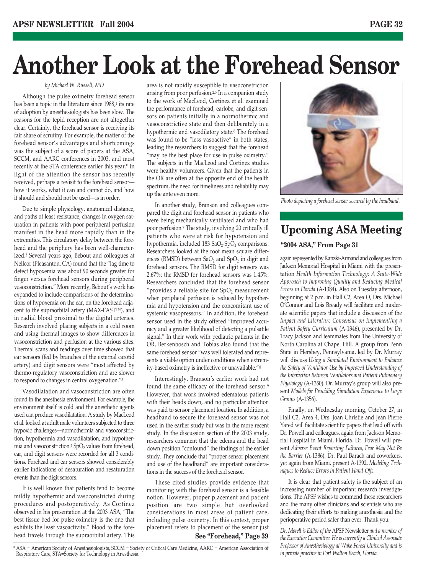# **Another Look at the Forehead Sensor**

### *by Michael W. Russell, MD*

Although the pulse oximetry forehead sensor has been a topic in the literature since 1988,<sup>1</sup> its rate of adoption by anesthesiologists has been slow. The reasons for the tepid reception are not altogether clear. Certainly, the forehead sensor is receiving its fair share of scrutiny. For example, the matter of the forehead sensor's advantages and shortcomings was the subject of a score of papers at the ASA, SCCM, and AARC conferences in 2003, and most recently at the STA conference earlier this year.\* In light of the attention the sensor has recently received, perhaps a revisit to the forehead sensor how it works, what it can and cannot do, and how it should and should not be used—is in order.

Due to simple physiology, anatomical distance, and paths of least resistance, changes in oxygen saturation in patients with poor peripheral perfusion manifest in the head more rapidly than in the extremities. This circulatory delay between the forehead and the periphery has been well-characterized.2 Several years ago, Bebout and colleagues at Nellcor (Pleasanton, CA) found that the "lag time to detect hypoxemia was about 90 seconds greater for finger versus forehead sensors during peripheral vasoconstriction." More recently, Bebout's work has expanded to include comparisons of the determinations of hypoxemia on the ear, on the forehead adjacent to the supraorbital artery (MAX-FAST™), and in radial blood proximal to the digital arteries. Research involved placing subjects in a cold room and using thermal images to show differences in vasoconstriction and perfusion at the various sites. Thermal scans and readings over time showed that ear sensors (fed by branches of the external carotid artery) and digit sensors were "most affected by thermo-regulatory vasoconstriction and are slower to respond to changes in central oxygenation."3

Vasodilatation and vasoconstriction are often found in the anesthesia environment. For example, the environment itself is cold and the anesthetic agents used can produce vasodilatation. A study by MacLeod et al. looked at adult male volunteers subjected to three hypoxic challenges—normothermia and vasoconstriction, hypothermia and vasodilatation, and hypothermia and vasoconstriction.<sup>4</sup> SpO<sub>2</sub> values from forehead, ear, and digit sensors were recorded for all 3 conditions. Forehead and ear sensors showed considerably earlier indications of desaturation and resaturation events than the digit sensors.

It is well known that patients tend to become mildly hypothermic and vasoconstricted during procedures and postoperatively. As Cortinez observed in his presentation at the 2003 ASA, "The best tissue bed for pulse oximetry is the one that exhibits the least vasoactivity." Blood to the forehead travels through the supraorbital artery. This

area is not rapidly susceptible to vasoconstriction arising from poor perfusion.2,5 In a companion study to the work of MacLeod, Cortinez et al. examined the performance of forehead, earlobe, and digit sensors on patients initially in a normothermic and vasoconstrictive state and then deliberately in a hypothermic and vasodilatory state.<sup>6</sup> The forehead was found to be "less vasoactive" in both states, leading the researchers to suggest that the forehead "may be the best place for use in pulse oximetry." The subjects in the MacLeod and Cortinez studies were healthy volunteers. Given that the patients in the OR are often at the opposite end of the health spectrum, the need for timeliness and reliability may up the ante even more.

In another study, Branson and colleagues compared the digit and forehead sensor in patients who were being mechanically ventilated and who had poor perfusion.7 The study, involving 20 critically ill patients who were at risk for hypotension and hypothermia, included 183  $SaO_2-SpO_2$  comparisons. Researchers looked at the root mean square differences (RMSD) between  $SaO<sub>2</sub>$  and  $SpO<sub>2</sub>$  in digit and forehead sensors. The RMSD for digit sensors was 2.67%; the RMSD for forehead sensors was 1.45%. Researchers concluded that the forehead sensor "provides a reliable site for  $SpO<sub>2</sub>$  measurement when peripheral perfusion is reduced by hypothermia and hypotension and the concomitant use of systemic vasopressors." In addition, the forehead sensor used in the study offered "improved accuracy and a greater likelihood of detecting a pulsatile signal." In their work with pediatric patients in the OR, Berkenbosch and Tobias also found that the same forehead sensor "was well tolerated and represents a viable option under conditions when extremity-based oximetry is ineffective or unavailable."8

Interestingly, Branson's earlier work had not found the same efficacy of the forehead sensor.9 However, that work involved edematous patients with their heads down, and no particular attention was paid to sensor placement location. In addition, a headband to secure the forehead sensor was not used in the earlier study but was in the more recent study. In the discussion section of the 2003 study, researchers comment that the edema and the head down position "confound" the findings of the earlier study. They conclude that "proper sensor placement and use of the headband" are important considerations in the success of the forehead sensor.

These cited studies provide evidence that monitoring with the forehead sensor is a feasible notion. However, proper placement and patient position are two simple but overlooked considerations in most areas of patient care, including pulse oximetry. In this context, proper placement refers to placement of the sensor just **See "Forehead," Page 39**



*Photo depicting a forehead sensor secured by the headband.*

# **Upcoming ASA Meeting**

# **"2004 ASA," From Page 31**

again represented by Kanzki-Armand and colleagues from Jackson Memorial Hospital in Miami with the presentation *Health Information Technology: A State-Wide Approach to Improving Quality and Reducing Medical Errors in Florida* (A-1384). Also on Tuesday afternoon, beginning at 2 p.m. in Hall C2, Area O, Drs. Michael O'Connor and Lois Bready will facilitate and moderate scientific papers that include a discussion of the *Impact and Literature Consensus on Implementing a Patient Safety Curriculum* (A-1346), presented by Dr. Tracy Jackson and teammates from The University of North Carolina at Chapel Hill. A group from Penn State in Hershey, Pennsylvania, led by Dr. Murray will discuss *Using a Simulated Environment to Enhance the Safety of Ventilator Use by Improved Understanding of the Interaction Between Ventilators and Patient Pulmonary Physiology* (A-1350). Dr. Murray's group will also present *Models for Providing Simulation Experience to Large Groups* (A-1356).

Finally, on Wednesday morning, October 27, in Hall C2, Area 4, Drs. Joan Christie and Jean Pierre Yared will facilitate scientific papers that lead off with Dr. Powell and colleagues, again from Jackson Memorial Hospital in Miami, Florida. Dr. Powell will present *Adverse Event Reporting Failures, Fear May Not Be the Barrier* (A-1386). Dr. Paul Barach and coworkers, yet again from Miami, present A-1392, *Modeling Techniques to Reduce Errors in Patient Hand-Offs.*

It is clear that patient safety is the subject of an increasing number of important research investigations. The APSF wishes to commend these researchers and the many other clinicians and scientists who are dedicating their efforts to making anesthesia and the perioperative period safer than ever. Thank you.

*Dr. Morell is Editor of the* APSF Newsletter *and a member of the Executive Committee. He is currently a Clinical Associate Professor of Anesthesiology at Wake Forest University and is in private practive in Fort Walton Beach, Florida.*

<sup>\*</sup> ASA = American Society of Anesthesiologists, SCCM = Society of Critical Care Medicine, AARC = American Association of Respiratory Care, STA=Society for Technology in Anesthesia.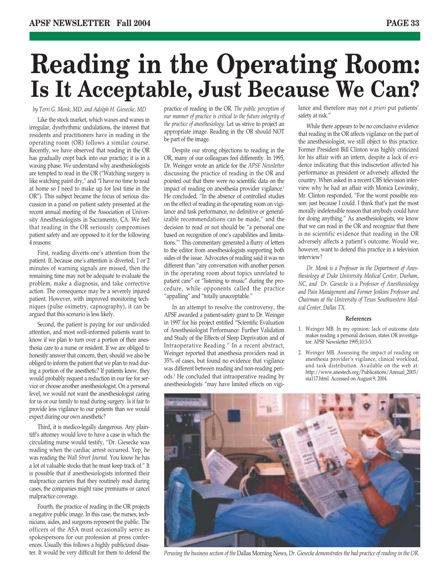# **Reading in the Operating Room: Is It Acceptable, Just Because We Can?**

# *by Terri G. Monk, MD, and Adolph H. Giesecke, MD*

Like the stock market, which waxes and wanes in irregular, dysrhythmic undulations, the interest that residents and practitioners have in reading in the operating room (OR) follows a similar course. Recently, we have observed that reading in the OR has gradually crept back into our practice; it is in a waxing phase. We understand why anesthesiologists are tempted to read in the OR ("Watching surgery is like watching paint dry," and "I have no time to read at home so I need to make up for lost time in the OR"). This subject became the focus of serious discussion in a panel on patient safety presented at the recent annual meeting of the Association of University Anesthesiologists in Sacramento, CA. We feel that reading in the OR seriously compromises patient safety and are opposed to it for the following 4 reasons:

First, reading diverts one's attention from the patient. If, because one's attention is diverted, 1 or 2 minutes of warning signals are missed, then the remaining time may not be adequate to evaluate the problem, make a diagnosis, and take corrective action. The consequence may be a severely injured patient. However, with improved monitoring techniques (pulse oximetry, capnography), it can be argued that this scenario is less likely.

Second, the patient is paying for our undivided attention, and most well-informed patients want to know if we plan to turn over a portion of their anesthesia care to a nurse or resident. If we are obliged to honestly answer that concern, then, should we also be obliged to inform the patient that we plan to read during a portion of the anesthetic? If patients knew, they would probably request a reduction in our fee for service or choose another anesthesiologist. On a personal level, we would not want the anesthesiologist caring for us or our family to read during surgery. Is it fair to provide less vigilance to our patients than we would expect during our own anesthetic?

Third, it is medico-legally dangerous. Any plaintiff's attorney would love to have a case in which the circulating nurse would testify, "Dr. Giesecke was reading when the cardiac arrest occurred. Yep, he was reading the *Wall Street Journal.* You know he has a lot of valuable stocks that he must keep track of." It is possible that if anesthesiologists informed their malpractice carriers that they routinely read during cases, the companies might raise premiums or cancel malpractice coverage.

Fourth, the practice of reading in the OR projects a negative public image. In this case, the nurses, technicians, aides, and surgeons represent the public. The officers of the ASA must occasionally serve as spokespersons for our profession at press conferences. Usually this follows a highly publicized disaster. It would be very difficult for them to defend the

practice of reading in the OR. *The public perception of our manner of practice is critical to the future integrity of the practice of anesthesiology.* Let us strive to project an appropriate image. Reading in the OR should NOT be part of the image.

Despite our strong objections to reading in the OR, many of our colleagues feel differently. In 1995, Dr. Weinger wrote an article for the *APSF Newsletter* discussing the practice of reading in the OR and pointed out that there were no scientific data on the impact of reading on anesthesia provider vigilance.<sup>1</sup> He concluded, "In the absence of controlled studies on the effect of reading in the operating room on vigilance and task performance, no definitive or generalizable recommendations can be made," and the decision to read or not should be "a personal one based on recognition of one's capabilities and limitations."1 This commentary generated a flurry of letters to the editor from anesthesiologists supporting both sides of the issue. Advocates of reading said it was no different than "any conversation with another person in the operating room about topics unrelated to patient care" or "listening to music" during the procedure, while opponents called the practice "appalling" and "totally unacceptable."

In an attempt to resolve the controversy, the APSF awarded a patient-safety grant to Dr. Weinger in 1997 for his project entitled "Scientific Evaluation of Anesthesiologist Performance: Further Validation and Study of the Effects of Sleep Deprivation and of Intraoperative Reading." In a recent abstract, Weinger reported that anesthesia providers read in 35% of cases, but found no evidence that vigilance was different between reading and non-reading periods.2 He concluded that intraoperative reading by anesthesiologists "may have limited effects on vigilance and therefore may not *a priori* put patients' safety at risk."

While there appears to be no conclusive evidence that reading in the OR affects vigilance on the part of the anesthesiologist, we still object to this practice. Former President Bill Clinton was highly criticized for his affair with an intern, despite a lack of evidence indicating that this indiscretion affected his performance as president or adversely affected the country. When asked in a recent CBS television interview why he had an affair with Monica Lewinsky, Mr. Clinton responded, "For the worst possible reason: just because I could. I think that's just the most morally indefensible reason that anybody could have for doing anything." As anesthesiologists, we know that we can read in the OR and recognize that there is no scientific evidence that reading in the OR adversely affects a patient's outcome. Would we, however, want to defend this practice in a television interview?

*Dr. Monk is a Professor in the Department of Anesthesiology at Duke University Medical Center, Durham, NC, and Dr. Giesecke is a Professor of Anesthesiology and Pain Management and Former Jenkins Professor and Chairman at the University of Texas Southwestern Medical Center, Dallas TX.*

### **References**

- 1. Weinger MB. In my opinion: lack of outcome data makes reading a personal decision, states OR investigator. APSF Newsletter 1995;10:3-5.
- 2. Weinger MB. Assessing the impact of reading on anesthesia provider's vigilance, clinical workload, and task distribution. Available on the web at: http://www.anestech.org/Publications/Annual\_2003/ sta117.html. Accessed on August 9, 2004.



*Perusing the business section of the* Dallas Morning News, *Dr. Giesecke demonstrates the bad practice of reading in the OR.*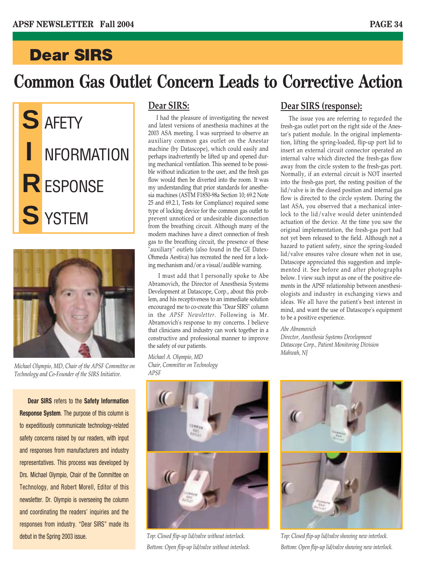# **Dear SIRS**

# **Common Gas Outlet Concern Leads to Corrective Action**





*Michael Olympio, MD, Chair of the APSF Committee on Technology and Co-Founder of the SIRS Initiative.*

**Dear SIRS** refers to the **Safety Information Response System**. The purpose of this column is to expeditiously communicate technology-related safety concerns raised by our readers, with input and responses from manufacturers and industry representatives. This process was developed by Drs. Michael Olympio, Chair of the Committee on Technology, and Robert Morell, Editor of this newsletter. Dr. Olympio is overseeing the column and coordinating the readers' inquiries and the responses from industry. "Dear SIRS" made its debut in the Spring 2003 issue.

# **Dear SIRS:**

I had the pleasure of investigating the newest and latest versions of anesthesia machines at the 2003 ASA meeting. I was surprised to observe an auxiliary common gas outlet on the Anestar machine (by Datascope), which could easily and perhaps inadvertently be lifted up and opened during mechanical ventilation. This seemed to be possible without indication to the user, and the fresh gas flow would then be diverted into the room. It was my understanding that prior standards for anesthesia machines (ASTM F1850-98a Section 10; 69.2 Note 25 and 69.2.1, Tests for Compliance) required some type of locking device for the common gas outlet to prevent unnoticed or undesirable disconnection from the breathing circuit. Although many of the modern machines have a direct connection of fresh gas to the breathing circuit, the presence of these 'auxiliary" outlets (also found in the GE Datex-Ohmeda Aestiva) has recreated the need for a locking mechanism and/or a visual/audible warning.

I must add that I personally spoke to Abe Abramovich, the Director of Anesthesia Systems Development at Datascope, Corp., about this problem, and his receptiveness to an immediate solution encouraged me to co-create this "Dear SIRS" column in the *APSF Newsletter*. Following is Mr. Abramovich's response to my concerns. I believe that clinicians and industry can work together in a constructive and professional manner to improve the safety of our patients.

*Michael A. Olympio, MD Chair, Committee on Technology APSF*

# **Dear SIRS (response):**

The issue you are referring to regarded the fresh-gas outlet port on the right side of the Anestar's patient module. In the original implementation, lifting the spring-loaded, flip-up port lid to insert an external circuit connector operated an internal valve which directed the fresh-gas flow away from the circle system to the fresh-gas port. Normally, if an external circuit is NOT inserted into the fresh-gas port, the resting position of the lid/valve is in the closed position and internal gas flow is directed to the circle system. During the last ASA, you observed that a mechanical interlock to the lid/valve would deter unintended actuation of the device. At the time you saw the original implementation, the fresh-gas port had not yet been released to the field. Although not a hazard to patient safety, since the spring-loaded lid/valve ensures valve closure when not in use, Datascope appreciated this suggestion and implemented it. See before and after photographs below. I view such input as one of the positive elements in the APSF relationship between anesthesiologists and industry in exchanging views and ideas. We all have the patient's best interest in mind, and want the use of Datascope's equipment to be a positive experience.

### *Abe Abramovich*

*Director, Anesthesia Systems Development Datascope Corp., Patient Monitoring Division Mahwah, NJ* 



*Top: Closed flip-up lid/valve without interlock. Bottom: Open flip-up lid/valve without interlock.*



*Top: Closed flip-up lid/valve showing new interlock. Bottom: Open flip-up lid/valve showing new interlock.*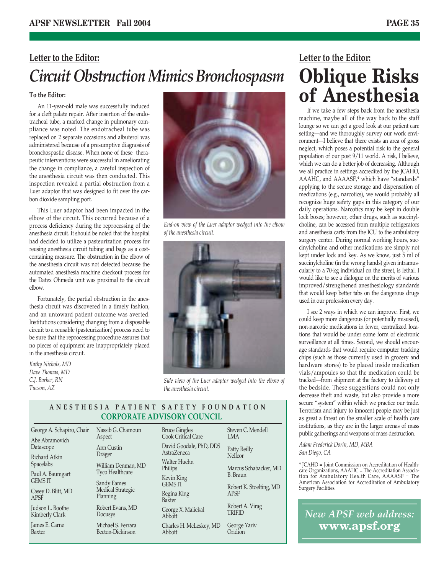# **Letter to the Editor:** *Circuit Obstruction Mimics Bronchospasm*

# **To the Editor:**

An 11-year-old male was successfully induced for a cleft palate repair. After insertion of the endotracheal tube, a marked change in pulmonary compliance was noted. The endotracheal tube was replaced on 2 separate occasions and albuterol was administered because of a presumptive diagnosis of bronchospastic disease. When none of these therapeutic interventions were successful in ameliorating the change in compliance, a careful inspection of the anesthesia circuit was then conducted. This inspection revealed a partial obstruction from a Luer adaptor that was designed to fit over the carbon dioxide sampling port.

This Luer adaptor had been impacted in the elbow of the circuit. This occurred because of a process deficiency during the reprocessing of the anesthesia circuit. It should be noted that the hospital had decided to utilize a pasteurization process for reusing anesthesia circuit tubing and bags as a costcontaining measure. The obstruction in the elbow of the anesthesia circuit was not detected because the automated anesthesia machine checkout process for the Datex Ohmeda unit was proximal to the circuit elbow.

Fortunately, the partial obstruction in the anesthesia circuit was discovered in a timely fashion, and an untoward patient outcome was averted. Institutions considering changing from a disposable circuit to a reusable (pasteurization) process need to be sure that the reprocessing procedure assures that no pieces of equipment are inappropriately placed in the anesthesia circuit.

*Kathy Nichols, MD Dave Thomas, MD C.J. Barker, RN Tucson, AZ*



*End-on view of the Luer adaptor wedged into the elbow of the anesthesia circuit.*



*Side view of the Luer adaptor wedged into the elbow of the anesthesia circuit.*

Steven C. Mendell

Marcus Schabacker, MD

Robert K. Stoelting, MD

Robert A. Virag **TRIFID** George Yariv **Oridion** 

LMA Patty Reilly **Nellcor** 

B. Braun

APSF

# **ANESTHESIA PATIENT SAFETY FOUNDATION CORPORATE ADVISORY COUNCIL**

Bruce Gingles

| George A. Schapiro, Chair          | Nassib G. Chamoun<br>Aspect            |
|------------------------------------|----------------------------------------|
| Abe Abramovich<br>Datascope        | Ann Custin                             |
| Richard Atkin<br><b>Spacelabs</b>  | Dräger                                 |
| Paul A. Baumgart                   | William Denman, MD<br>Tyco Healthcare  |
| <b>GEMS IT</b>                     | Sandy Eames                            |
| Casey D. Blitt, MD<br><b>APSF</b>  | Medical Strategic<br>Planning          |
| Judson L. Boothe<br>Kimberly Clark | Robert Evans, MD<br>Docusys            |
| James E. Carne<br>Baxter           | Michael S. Ferrara<br>Becton-Dickinson |

Becton-Dickinson

Cook Critical Care David Goodale, PhD, DDS AstraZeneca Walter Huehn Philips Kevin King GEMS IT Regina King Baxter George X. Maliekal Abbott Charles H. McLeskey, MD Abbott

**Letter to the Editor: Oblique Risks of Anesthesia**

If we take a few steps back from the anesthesia machine, maybe all of the way back to the staff lounge so we can get a good look at our patient care setting—and we thoroughly survey our work environment—I believe that there exists an area of gross neglect, which poses a potential risk to the general population of our post  $9/11$  world. A risk, I believe, which we can do a better job of decreasing. Although we all practice in settings accredited by the JCAHO, AAAHC, and AAAASF,\* which have "standards" applying to the secure storage and dispensation of medications (e.g., narcotics), we would probably all recognize huge safety gaps in this category of our daily operations. Narcotics may be kept in double lock boxes; however, other drugs, such as succinylcholine, can be accessed from multiple refrigerators and anesthesia carts from the ICU to the ambulatory surgery center. During normal working hours, succinylcholine and other medications are simply not kept under lock and key. As we know, just 5 ml of succinylcholine (in the wrong hands) given intramuscularly to a 70-kg individual on the street, is lethal. I would like to see a dialogue on the merits of various improved/strengthened anesthesiology standards that would keep better tabs on the dangerous drugs used in our profession every day.

I see 2 ways in which we can improve. First, we could keep more dangerous (or potentially misused), non-narcotic medications in fewer, centralized locations that would be under some form of electronic surveillance at all times. Second, we should encourage standards that would require computer tracking chips (such as those currently used in grocery and hardware stores) to be placed inside medication vials/ampoules so that the medication could be tracked—from shipment at the factory to delivery at the bedside. These suggestions could not only decrease theft and waste, but also provide a more secure "system" within which we practice our trade. Terrorism and injury to innocent people may be just as great a threat on the smaller scale of health care institutions, as they are in the larger arenas of mass public gatherings and weapons of mass destruction.

*Adam Frederick Dorin, MD, MBA San Diego, CA*

\* JCAHO = Joint Commission on Accreditation of Healthcare Organizations, AAAHC = The Accreditation Association for Ambulatory Health Care, AAAASF = The American Association for Accreditation of Ambulatory Surgery Facilities.

*New APSF web address:* **www.apsf.org**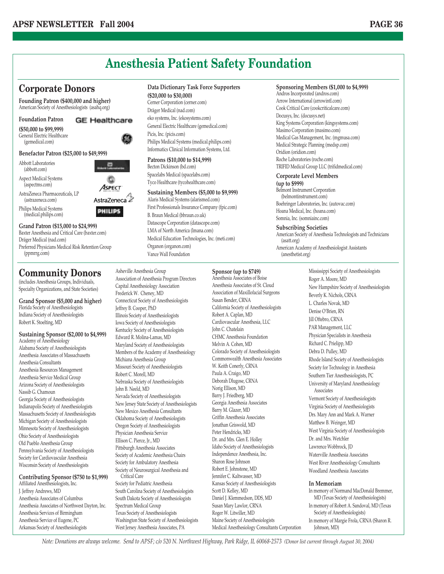# **Anesthesia Patient Safety Foundation**

# **Corporate Donors**

**Founding Patron (\$400,000 and higher)** American Society of Anesthesiologists (asahq.org)

### **Foundation Patron GE Healthcare**

### **(\$50,000 to \$99,999)**

General Electric Healthcare (gemedical.com)

# **Benefactor Patron (\$25,000 to \$49,999)**

Abbott Laboratories (abbott.com)

Aspect Medical Systems (aspectms.com)

AstraZeneca Pharmaceuticals, LP (astrazeneca.com)

Philips Medical Systems (medical.philips.com)

**Grand Patron (\$15,000 to \$24,999)** Baxter Anesthesia and Critical Care (baxter.com) Dräger Medical (nad.com) Preferred Physicians Medical Risk Retention Group (ppmrrg.com)

# **Community Donors**

(includes Anesthesia Groups, Individuals, Specialty Organizations, and State Societies)

### **Grand Sponsor (\$5,000 and higher)** Florida Society of Anesthesiologists

Indiana Society of Anesthesiologists Robert K. Stoelting, MD

# **Sustaining Sponsor (\$2,000 to \$4,999)**

Academy of Anesthesiology Alabama Society of Anesthesiologists Anesthesia Associates of Massachusetts Anesthesia Consultants Anesthesia Resources Management Anesthesia Service Medical Group Arizona Society of Anesthesiologists Nassib G. Chamoun Georgia Society of Anesthesiologists Indianapolis Society of Anesthesiologists Massachusetts Society of Anesthesiologists Michigan Society of Anesthesiologists Minnesota Society of Anesthesiologists Ohio Society of Anesthesiologists Old Pueblo Anesthesia Group Pennsylvania Society of Anesthesiologists Society for Cardiovascular Anesthesia Wisconsin Society of Anesthesiologists

# **Contributing Sponsor (\$750 to \$1,999)**

Affiliated Anesthesiologists, Inc. J. Jeffrey Andrews, MD Anesthesia Associates of Columbus Anesthesia Associates of Northwest Dayton, Inc. Anesthesia Services of Birmingham Anesthesia Service of Eugene, PC Arkansas Society of Anesthesiologists

# **Data Dictionary Task Force Supporters**

**(\$20,000 to \$30,000)** Cerner Corporation (cerner.com) Dräger Medical (nad.com) eko systems, Inc. (ekosystems.com) General Electric Healthcare (gemedical.com) Picis, Inc. (picis.com) Philips Medical Systems (medical.philips.com) Informatics Clinical Information Systems, Ltd.

## **Patrons (\$10,000 to \$14,999)**

Becton Dickinson (bd.com) Spacelabs Medical (spacelabs.com) Tyco Healthcare (tycohealthcare.com)

# **Sustaining Members (\$5,000 to \$9,999)**

Alaris Medical Systems (alarismed.com) First Professionals Insurance Company (fpic.com) B. Braun Medical (bbraun.co.uk) Datascope Corporation (datascope.com) LMA of North America (lmana.com) Medical Education Technologies, Inc. (meti.com) Organon (organon.com) Vance Wall Foundation

# **Sponsoring Members (\$1,000 to \$4,999)**

Andros Incorporated (andros.com) Arrow International (arrowintl.com) Cook Critical Care (cookcriticalcare.com) Docusys, Inc. (docusys.net) King Systems Corporation (kingsystems.com) Masimo Corporation (masimo.com) Medical Gas Management, Inc. (mgmusa.com) Medical Strategic Planning (medsp.com) Oridion (oridion.com) Roche Laboratories (roche.com) TRIFID Medical Group LLC (trifidmedical.com)

### **Corporate Level Members (up to \$999)**

Belmont Instrument Corporation (belmontinstrument.com) Boehringer Laboratories, Inc. (autovac.com) Hoana Medical, Inc. (hoana.com) Somnia, Inc. (somniainc.com)

# **Subscribing Societies**

American Society of Anesthesia Technologists and Technicians (asatt.org) American Academy of Anesthesiologist Assistants (anesthetist.org)

# Asheville Anesthesia Group

Association of Anesthesia Program Directors Capital Anesthesiology Association Frederick W. Cheney, MD Connecticut Society of Anesthesiologists Jeffrey B. Cooper, PhD Illinois Society of Anesthesiologists Iowa Society of Anesthesiologists Kentucky Society of Anesthesiologists Edward R. Molina-Lamas, MD Maryland Society of Anesthesiologists Members of the Academy of Anesthesiology Michiana Anesthesia Group Missouri Society of Anesthesiologists Robert C. Morell, MD Nebraska Society of Anesthesiologists John B. Neeld, MD Nevada Society of Anesthesiologists New Jersey State Society of Anesthesiologists New Mexico Anesthesia Consultants Oklahoma Society of Anesthesiologists Oregon Society of Anesthesiologists Physician Anesthesia Service Ellison C. Pierce, Jr., MD Pittsburgh Anesthesia Associates Society of Academic Anesthesia Chairs Society for Ambulatory Anesthesia Society of Neurosurgical Anesthesia and Critical Care Society for Pediatric Anesthesia South Carolina Society of Anesthesiologists South Dakota Society of Anesthesiologists Spectrum Medical Group

Texas Society of Anesthesiologists Washington State Society of Anesthesiologists West Jersey Anesthesia Associates, PA

Anesthesia Associates of St. Cloud Association of Maxillofacial Surgeons Susan Bender, CRNA California Society of Anesthesiologists Robert A. Caplan, MD Cardiovascular Anesthesia, LLC John C. Chatelain CHMC Anesthesia Foundation Melvin A. Cohen, MD Colorado Society of Anesthesiologists Commonwealth Anesthesia Associates W. Keith Conerly, CRNA Paula A. Craigo, MD Deborah Dlugose, CRNA Norig Ellison, MD Barry J. Friedberg, MD Georgia Anesthesia Associates Barry M. Glazer, MD Griffin Anesthesia Associates Jonathan Griswold, MD Peter Hendricks, MD Dr. and Mrs. Glen E. Holley Idaho Society of Anesthesiologists Independence Anesthesia, Inc. Sharon Rose Johnson Robert E. Johnstone, MD Jennifer C. Kaltwasser, MD Kansas Society of Anesthesiologists Scott D. Kelley, MD Daniel J. Klemmedson, DDS, MD Susan Mary Lawlor, CRNA Roger W. Litwiller, MD Maine Society of Anesthesiologists Medical Anesthesiology Consultants Corporation

**Sponsor (up to \$749)** Anesthesia Associates of Boise Mississippi Society of Anesthesiologists Roger A. Moore, MD New Hampshire Society of Anesthesiologists Beverly K. Nichols, CRNA L. Charles Novak, MD Denise O'Brien, RN Jill Oftebro, CRNA PAR Management, LLC Physician Specialists in Anesthesia Richard C. Prielipp, MD Debra D. Pulley, MD Rhode Island Society of Anesthesiologists Society for Technology in Anesthesia Southern Tier Anesthesiologists, PC University of Maryland Anesthesiology **Associates** Vermont Society of Anesthesiologists Virginia Society of Anesthesiologists Drs. Mary Ann and Mark A. Warner Matthew B. Weinger, MD West Virginia Society of Anesthesiologists Dr. and Mrs. Wetchler Lawrence Wobbrock, JD Waterville Anesthesia Associates West River Anesthesiology Consultants Woodland Anesthesia Associates

## **In Memoriam**

In memory of Normand MacDonald Bremmer, MD (Texas Society of Anesthesiologists) In memory of Robert A. Sandoval, MD (Texas Society of Anesthesiologists) In memory of Margie Frola, CRNA (Sharon R. Johnson, MD)

*Note: Donations are always welcome. Send to APSF; c/o 520 N. Northwest Highway, Park Ridge, IL 60068-2573 (Donor list current through August 30, 2004)*

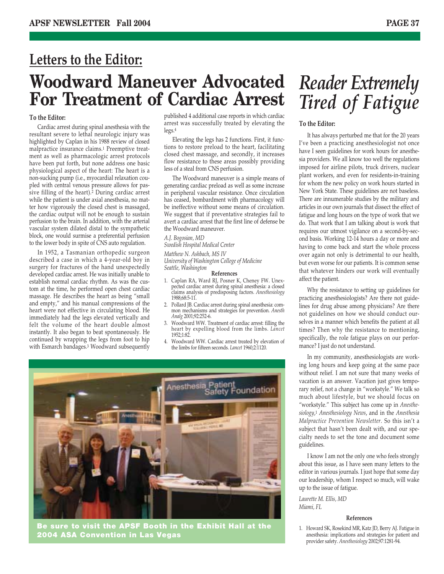# **Woodward Maneuver Advocated For Treatment of Cardiac Arrest** *Reader Extremely* **Letters to the Editor:**

## **To the Editor:**

Cardiac arrest during spinal anesthesia with the resultant severe to lethal neurologic injury was highlighted by Caplan in his 1988 review of closed malpractice insurance claims.1 Preemptive treatment as well as pharmacologic arrest protocols have been put forth, but none address one basic physiological aspect of the heart: The heart is a non-sucking pump (i.e., myocardial relaxation coupled with central venous pressure allows for passive filling of the heart).2 During cardiac arrest while the patient is under axial anesthesia, no matter how vigorously the closed chest is massaged, the cardiac output will not be enough to sustain perfusion to the brain. In addition, with the arterial vascular system dilated distal to the sympathetic block, one would surmise a preferential perfusion to the lower body in spite of CNS auto regulation.

In 1952, a Tasmanian orthopedic surgeon described a case in which a 4-year-old boy in surgery for fractures of the hand unexpectedly developed cardiac arrest. He was initially unable to establish normal cardiac rhythm. As was the custom at the time, he performed open chest cardiac massage. He describes the heart as being "small and empty," and his manual compressions of the heart were not effective in circulating blood. He immediately had the legs elevated vertically and felt the volume of the heart double almost instantly. It also began to beat spontaneously. He continued by wrapping the legs from foot to hip with Esmarch bandages.3 Woodward subsequently published 4 additional case reports in which cardiac arrest was successfully treated by elevating the legs.4

Elevating the legs has 2 functions. First, it functions to restore preload to the heart, facilitating closed chest massage, and secondly, it increases flow resistance to these areas possibly providing less of a steal from CNS perfusion.

The Woodward maneuver is a simple means of generating cardiac preload as well as some increase in peripheral vascular resistance. Once circulation has ceased, bombardment with pharmacology will be ineffective without some means of circulation. We suggest that if preventative strategies fail to avert a cardiac arrest that the first line of defense be the Woodward maneuver.

*A.J. Bogosian, MD*

*Swedish Hospital Medical Center*

*Matthew N. Ashbach, MS IV University of Washington College of Medicine Seattle, Washington*

### **References**

- 1. Caplan RA, Ward RJ, Posner K, Cheney FW. Unexpected cardiac arrest during spinal anesthesia: a closed claims analysis of predisposing factors. *Anesthesiology* 1988;68:5-11.
- 2. Pollard JB. Cardiac arrest during spinal anesthesia: common mechanisms and strategies for prevention. *Anesth Analg* 2001;92:252-6.
- 3. Woodward WW. Treatment of cardiac arrest: filling the heart by expelling blood from the limbs. *Lancet* 1952;1:82.
- 4. Woodward WW. Cardiac arrest treated by elevation of the limbs for fifteen seconds. *Lancet* 1960;2:1120.



**Be sure to visit the APSF Booth in the Exhibit Hall at the 2004 ASA Convention in Las Vegas**

# *Tired of Fatigue*

## **To the Editor:**

It has always perturbed me that for the 20 years I've been a practicing anesthesiologist not once have I seen guidelines for work hours for anesthesia providers. We all know too well the regulations imposed for airline pilots, truck drivers, nuclear plant workers, and even for residents-in-training for whom the new policy on work hours started in New York State. These guidelines are not baseless. There are innumerable studies by the military and articles in our own journals that dissect the effect of fatigue and long hours on the type of work that we do. That work that I am talking about is work that requires our utmost vigilance on a second-by-second basis. Working 12-14 hours a day or more and having to come back and start the whole process over again not only is detrimental to our health, but even worse for our patients. It is common sense that whatever hinders our work will eventually affect the patient.

Why the resistance to setting up guidelines for practicing anesthesiologists? Are there not guidelines for drug abuse among physicians? Are there not guidelines on how we should conduct ourselves in a manner which benefits the patient at all times? Then why the resistance to mentioning, specifically, the role fatigue plays on our performance? I just do not understand.

In my community, anesthesiologists are working long hours and keep going at the same pace without relief. I am not sure that many weeks of vacation is an answer. Vacation just gives temporary relief, not a change in "workstyle." We talk so much about lifestyle, but we should focus on "workstyle." This subject has come up in *Anesthesiology*,1 *Anesthesiology News*, and in the *Anesthesia Malpractice Prevention Newsletter.* So this isn't a subject that hasn't been dealt with, and our specialty needs to set the tone and document some guidelines.

I know I am not the only one who feels strongly about this issue, as I have seen many letters to the editor in various journals. I just hope that some day our leadership, whom I respect so much, will wake up to the issue of fatigue.

*Laurette M. Ellis, MD Miami, FL*

### **References**

1. Howard SK, Rosekind MR, Katz JD, Berry AJ. Fatigue in anesthesia: implications and strategies for patient and provider safety. *Anesthesiology* 2002;97:1281-94.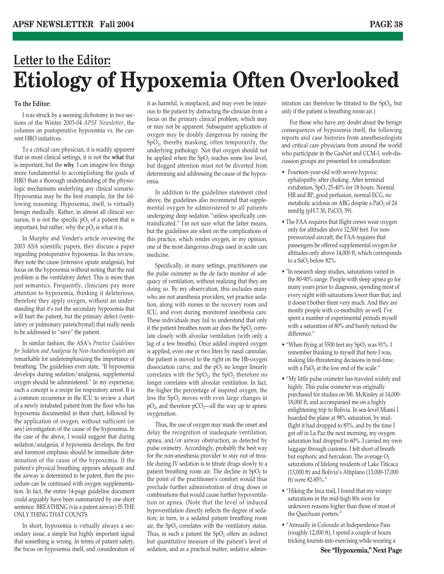# **Letter to the Editor: Etiology of Hypoxemia Often Overlooked**

# **To the Editor:**

I was struck by a seeming dichotomy in two sections of the Winter 2003-04 *APSF Newsletter*, the columns on postoperative hypoxemia vs. the current HRO initiatives.

To a critical care physician, it is readily apparent that in most clinical settings, it is not the **what** that is important, but the **why**. I can imagine few things more fundamental to accomplishing the goals of HRO than a thorough understanding of the physiologic mechanisms underlying any clinical scenario. Hypoxemia may be the best example, for the following reasoning: Hypoxemia, itself, is virtually benign medically. Rather, in almost all clinical scenarios, it is not the specific  $pO_2$  of a patient that is important, but rather, why the  $pO<sub>2</sub>$  is what it is.

In Murphy and Vender's article reviewing the 2003 ASA scientific papers, they discuss a paper regarding postoperative hypoxemia. In this review, they note the cause (intensive opiate analgesia), but focus on the hypoxemia without noting that the real problem is the ventilatory defect. This is more than just semantics. Frequently, clinicians pay more attention to hypoxemia, thinking it deleterious; therefore they apply oxygen, without an understanding that it's not the secondary hypoxemia that will hurt the patient, but the primary defect (ventilatory or pulmonary parenchymal) that really needs to be addressed to "save" the patient.

In similar fashion, the ASA's *Practice Guidelines for Sedation and Analgesia by Non-Anesthesiologists* are remarkable for underemphasizing the importance of breathing. The guidelines even state, "If hypoxemia develops during sedation/analgesia, supplemental oxygen should be administered." In my experience, such a concept is a recipe for respiratory arrest. It is a common occurrence in the ICU to review a chart of a newly intubated patient from the floor who has hypoxemia documented in their chart, followed by the application of oxygen, without sufficient (or any) investigation of the cause of the hypoxemia. In the case of the above, I would suggest that during sedation/analgesia, if hypoxemia develops, the first and foremost emphasis should be immediate determination of the cause of the hypoxemia. If the patient's physical breathing appears adequate and the airway is determined to be patent, then the procedure can be continued with oxygen supplementation. In fact, the entire 14-page guideline document could arguably have been summarized by one short sentence: BREATHING (via a patent airway) IS THE ONLY THING THAT COUNTS.

In short, hypoxemia is virtually always a secondary issue, a simple but highly important signal that something is wrong. In terms of patient safety, the focus on hypoxemia itself, and consideration of

it as harmful, is misplaced, and may even be injurious to the patient by distracting the clinician from a focus on the primary clinical problem, which may or may not be apparent. Subsequent application of oxygen may be doubly dangerous by raising the SpO2, thereby masking, often temporarily, the underlying pathology. Not that oxygen should not be applied when the  $SpO<sub>2</sub>$  reaches some low level, but dogged attention must not be diverted from determining and addressing the cause of the hypoxemia.

In addition to the guidelines statement cited above, the guidelines also recommend that supplemental oxygen be administered to all patients undergoing deep sedation "unless specifically contraindicated." I'm not sure what the latter means, but the guidelines are silent on the complications of this practice, which render oxygen, in my opinion, one of the most dangerous drugs used in acute care medicine.

Specifically, in many settings, practitioners use the pulse oximeter as the de facto monitor of adequacy of ventilation, without realizing that they are doing so. By my observation, this includes many who are not anesthesia providers, yet practice sedation, along with nurses in the recovery room and ICU, and even during monitored anesthesia care. These individuals may fail to understand that only if the patient breathes room air does the  $SpO<sub>2</sub>$  correlate closely with alveolar ventilation (with only a lag of a few breaths). Once added inspired oxygen is applied, even one or two liters by nasal cannulae, the patient is moved to the right on the Hb-oxygen dissociation curve, and the  $pO<sub>2</sub>$  no longer linearly correlates with the  $SpO<sub>2</sub>$ ; the  $SpO<sub>2</sub>$  therefore no longer correlates with alveolar ventilation. In fact, the higher the percentage of inspired oxygen, the less the  $SpO<sub>2</sub>$  moves with even large changes in  $pO<sub>2</sub>$ , and therefore  $pCO<sub>2</sub>$ —all the way up to apneic oxygenation.

Thus, the use of oxygen may mask the onset and delay the recognition of inadequate ventilation, apnea, and/or airway obstruction, as detected by pulse oximetry. Accordingly, probably the best way for the non-anesthesia provider to stay out of trouble during IV sedation is to titrate drugs slowly to a patient breathing room air. The decline in  $SpO<sub>2</sub>$  to the point of the practitioner's comfort would thus preclude further administration of drug doses or combinations that would cause further hypoventilation or apnea. (Note that the level of induced hypoventilation directly reflects the degree of sedation; in turn, in a sedated patient breathing room air, the  $SpO<sub>2</sub>$  correlates with the ventilatory status. Thus, in such a patient the  $SpO<sub>2</sub>$  offers an indirect but quantitative measure of the patient's level of sedation, and as a practical matter, sedative administration can therefore be titrated to the  $SpO<sub>2</sub>$ , but only if the patient is breathing room air.)

For those who have any doubt about the benign consequences of hypoxemia itself, the following reports and case histories from anesthesiologists and critical care physicians from around the world who participate in the GasNet and CCM-L web-discussion groups are presented for consideration:

- Fourteen-year-old with severe hypoxic ephalopathy after choking. After terminal extubation, SpO<sub>2</sub> 25-40% for 18 hours. Normal HR and BP, good perfusion, normal ECG, no metabolic acidosis on ABG despite a PaO<sub>2</sub> of 24 mmHg (pH 7.30, PaCO<sub>2</sub> 59).
- The FAA requires that flight crews wear oxygen only for altitudes above 12,500 feet. For nonpressurized aircraft, the FAA requires that passengers be offered supplemental oxygen for altitudes only above 14,000 ft, which corresponds to a  $SaO<sub>2</sub>$  below 82%.
- "In research sleep studies, saturations varied in the 80-90% range. People with sleep apnea go for many years prior to diagnosis, spending most of every night with saturations lower than that, and it doesn't bother them very much. And they are mostly people with co-morbidity as well. I've spent a number of experimental periods myself with a saturation of 80% and barely noticed the difference."
- "When flying at 5500 feet my  $SpO<sub>2</sub>$  was 91%. I remember thinking to myself that here I was, making life-threatening decisions in real-time, with a PaO<sub>2</sub> at the low end of the scale."
- "My little pulse oximeter has traveled widely and highly. This pulse oximeter was originally purchased for studies on Mt. McKinley at 14,000- 18,000 ft, and accompanied me on a highly enlightening trip to Bolivia. In sea-level Miami I boarded the plane at 98% saturation, by midflight it had dropped to 85%, and by the time I got off in La Paz the next morning, my oxygen saturation had dropped to 60%. I carried my own luggage through customs. I felt short of breath but euphoric and herculean. The average  $O<sub>2</sub>$ saturations of lifelong residents of Lake Titicaca (13,000 ft) and Bolivia's Altiplano (13,000-17,000 ft) were 82-85%."
- "Hiking the Inca trail, I found that my wimpy saturations in the mid-high 80s were for unknown reasons higher than those of most of the Quechuan porters."
- "Annually in Colorado at Independence Pass (roughly 12,000 ft), I spend a couple of hours tricking tourists into exercising while wearing a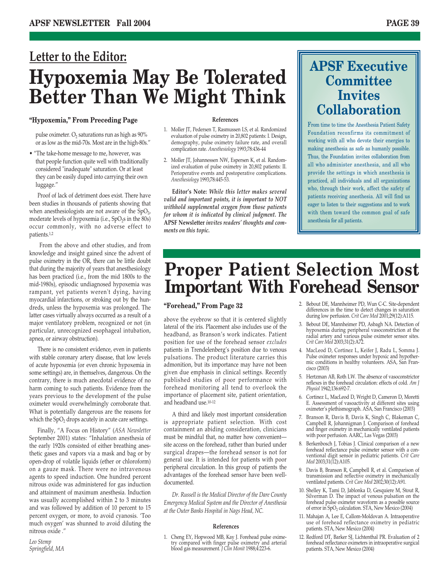# **Letter to the Editor: Hypoxemia May Be Tolerated Better Than We Might Think**

## **"Hypoxemia," From Preceding Page**

pulse oximeter.  $O_2$  saturations run as high as  $90\%$ or as low as the mid-70s. Most are in the high-80s."

• "The take-home message to me, however, was that people function quite well with traditionally considered "inadequate" saturation. Or at least they can be easily duped into carrying their own luggage."

Proof of lack of detriment does exist. There have been studies in thousands of patients showing that when anesthesiologists are not aware of the  $SpO<sub>2</sub>$ , moderate levels of hypoxemia (i.e., SpO<sub>2</sub>s in the 80s) occur commonly, with no adverse effect to patients.1,2

From the above and other studies, and from knowledge and insight gained since the advent of pulse oximetry in the OR, there can be little doubt that during the majority of years that anesthesiology has been practiced (i.e., from the mid 1800s to the mid-1980s), episodic undiagnosed hypoxemia was rampant, yet patients weren't dying, having myocardial infarctions, or stroking out by the hundreds, unless the hypoxemia was prolonged. The latter cases virtually always occurred as a result of a major ventilatory problem, recognized or not (in particular, unrecognized esophageal intubation, apnea, or airway obstruction).

There is no consistent evidence, even in patients with stable coronary artery disease, that low levels of acute hypoxemia (or even chronic hypoxemia in some settings) are, in themselves, dangerous. On the contrary, there is much anecdotal evidence of no harm coming to such patients. Evidence from the years previous to the development of the pulse oximeter would overwhelmingly corroborate that. What is potentially dangerous are the reasons for which the  $SpO<sub>2</sub>$  drops acutely in acute care settings.

Finally, "A Focus on History" (*ASA Newsletter* September 2001) states: "Inhalation anesthesia of the early 1920s consisted of either breathing anesthetic gases and vapors via a mask and bag or by open-drop of volatile liquids (ether or chloroform) on a gauze mask. There were no intravenous agents to speed induction. One hundred percent nitrous oxide was administered for gas induction and attainment of maximum anesthesia. Induction was usually accomplished within 2 to 3 minutes and was followed by addition of 10 percent to 15 percent oxygen, or more, to avoid cyanosis. 'Too much oxygen' was shunned to avoid diluting the nitrous oxide ."

## *Leo Stemp Springfield, MA*

### **References**

- 1. Moller JT, Pedersen T, Rasmussen LS, et al. Randomized evaluation of pulse oximetry in 20,802 patients: I. Design, demography, pulse oximetry failure rate, and overall complication rate. *Anesthesiology* 1993;78:436-44
- 2. Moller JT, Johannessen NW, Espersen K, et al. Randomized evaluation of pulse oximetry in 20,802 patients: II. Perioperative events and postoperative complications. *Anesthesiology* 1993;78:445-53.

**Editor's Note:** *While this letter makes several valid and important points, it is important to NOT withhold supplemental oxygen from those patients for whom it is indicated by clinical judgment. The* **APSF Newsletter** *invites readers' thoughts and comments on this topic.*

# **APSF Executive Committee Invites Collaboration**

From time to time the Anesthesia Patient Safety Foundation reconfirms its commitment of working with all who devote their energies to making anesthesia as safe as humanly possible. Thus, the Foundation invites collaboration from all who administer anesthesia, and all who provide the settings in which anesthesia is practiced, all individuals and all organizations who, through their work, affect the safety of patients receiving anesthesia. All will find us eager to listen to their suggestions and to work with them toward the common goal of safe anesthesia for all patients.

# **Proper Patient Selection Most Important With Forehead Sensor**

## **"Forehead," From Page 32**

above the eyebrow so that it is centered slightly lateral of the iris. Placement also includes use of the headband, as Branson's work indicates. Patient position for use of the forehead sensor *excludes* patients in Trendelenberg's position due to venous pulsations. The product literature carries this admonition, but its importance may have not been given due emphasis in clinical settings. Recently published studies of poor performance with forehead monitoring all tend to overlook the importance of placement site, patient orientation, and headband use.10-12

A third and likely most important consideration is appropriate patient selection. With cost containment an abiding consideration, clinicians must be mindful that, no matter how convenient site access on the forehead, rather than buried under surgical drapes—the forehead sensor is not for general use. It is intended for patients with poor peripheral circulation. In this group of patients the advantages of the forehead sensor have been welldocumented.

*Dr. Russell is the Medical Director of the Dare County Emergency Medical System and the Director of Anesthesia at the Outer Banks Hospital in Nags Head, NC.*

### **References**

1. Cheng EY, Hopwood MB, Kay J. Forehead pulse oximetry compared with finger pulse oximetry and arterial blood gas measurement. *J Clin Monit* 1988;4:223-6.

- 2. Bebout DE, Mannheimer PD, Wun C-C. Site-dependent differences in the time to detect changes in saturation during low perfusion. *Crit Care Med* 2001;29(12):A115.
- 3. Bebout DE, Mannheimer PD, Asbagh NA. Detection of hypoxemia during peripheral vasoconstriction at the radial artery and various pulse oximeter sensor sites. *Crit Care Med* 2003;31(2):A72.
- 4. MacLeod D, Cortinez L, Keifer J, Radu L, Somma J. Pulse oximeter responses under hypoxic and hypothermic conditions in healthy volunteers. ASA, San Francisco (2003)
- 5. Hertzman AB, Roth LW. The absence of vasoconstrictor reflexes in the forehead circulation: effects of cold. *Am J Physiol* 1942;136:692-7.
- 6. Cortinez L, MacLeod D, Wright D, Cameron D, Moretti E. Assessment of vasoactivity at different sites using oximeter's plethismograph. ASA, San Francisco (2003)
- 7. Branson R, Davis B, Davis K, Singh C, Blakeman C, Campbell R, Johannigman J. Comparison of forehead and finger oximetry in mechanically ventilated patients with poor perfusion. AARC, Las Vegas (2003)
- 8. Berkenbosch J, Tobias J. Clinical comparison of a new forehead reflectance pulse oximeter sensor with a conventional digit sensor in pediatric patients. *Crit Care Med* 2003;31(12):A105.
- 9. Davis B, Branson R, Campbell R, et al. Comparison of transmission and reflective oximetry in mechanically ventilated patients. *Crit Care Med* 2002;30(12):A91.
- 10. Shelley K, Tami D, Jablonka D, Gesquiere M, Stout R, Silverman D. The impact of venous pulsation on the forehead pulse oximeter waveform as a possible source of error in SpO<sub>2</sub> calculation. STA, New Mexico (2004)
- 11. Mahajan A, Lee E, Callom-Moldovan A. Intraoperative use of forehead reflectance oximetry in pediatric patients. STA, New Mexico (2004)
- 12. Redford DT, Barker SJ, Lichtenthal PR. Evaluation of 2 forehead reflectance oximeters in intraoperative surgical patients. STA, New Mexico (2004)